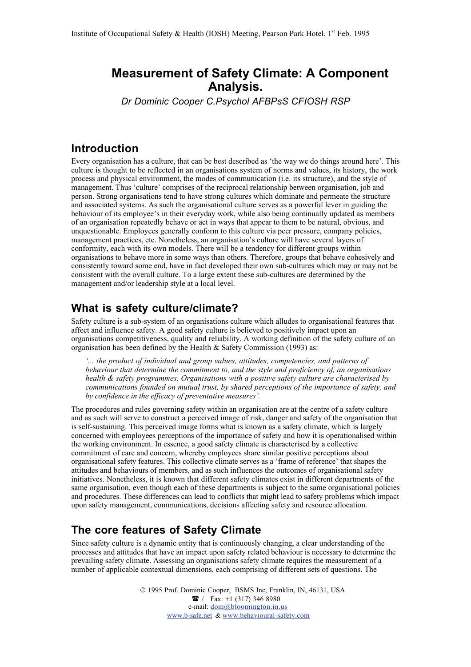# **Measurement of Safety Climate: A Component Analysis.**

*Dr Dominic Cooper C.Psychol AFBPsS CFIOSH RSP*

## **Introduction**

Every organisation has a culture, that can be best described as 'the way we do things around here'. This culture is thought to be reflected in an organisations system of norms and values, its history, the work process and physical environment, the modes of communication (i.e. its structure), and the style of management. Thus 'culture' comprises of the reciprocal relationship between organisation, job and person. Strong organisations tend to have strong cultures which dominate and permeate the structure and associated systems. As such the organisational culture serves as a powerful lever in guiding the behaviour of its employee's in their everyday work, while also being continually updated as members of an organisation repeatedly behave or act in ways that appear to them to be natural, obvious, and unquestionable. Employees generally conform to this culture via peer pressure, company policies, management practices, etc. Nonetheless, an organisation's culture will have several layers of conformity, each with its own models. There will be a tendency for different groups within organisations to behave more in some ways than others. Therefore, groups that behave cohesively and consistently toward some end, have in fact developed their own sub-cultures which may or may not be consistent with the overall culture. To a large extent these sub-cultures are determined by the management and/or leadership style at a local level.

## **What is safety culture/climate?**

Safety culture is a sub-system of an organisations culture which alludes to organisational features that affect and influence safety. A good safety culture is believed to positively impact upon an organisations competitiveness, quality and reliability. A working definition of the safety culture of an organisation has been defined by the Health & Safety Commission (1993) as:

*'... the product of individual and group values, attitudes, competencies, and patterns of behaviour that determine the commitment to, and the style and proficiency of, an organisations health & safety programmes. Organisations with a positive safety culture are characterised by communications founded on mutual trust, by shared perceptions of the importance of safety, and by confidence in the efficacy of preventative measures'.*

The procedures and rules governing safety within an organisation are at the centre of a safety culture and as such will serve to construct a perceived image of risk, danger and safety of the organisation that is self-sustaining. This perceived image forms what is known as a safety climate, which is largely concerned with employees perceptions of the importance of safety and how it is operationalised within the working environment. In essence, a good safety climate is characterised by a collective commitment of care and concern, whereby employees share similar positive perceptions about organisational safety features. This collective climate serves as a 'frame of reference' that shapes the attitudes and behaviours of members, and as such influences the outcomes of organisational safety initiatives. Nonetheless, it is known that different safety climates exist in different departments of the same organisation, even though each of these departments is subject to the same organisational policies and procedures. These differences can lead to conflicts that might lead to safety problems which impact upon safety management, communications, decisions affecting safety and resource allocation.

## **The core features of Safety Climate**

Since safety culture is a dynamic entity that is continuously changing, a clear understanding of the processes and attitudes that have an impact upon safety related behaviour is necessary to determine the prevailing safety climate. Assessing an organisations safety climate requires the measurement of a number of applicable contextual dimensions, each comprising of different sets of questions. The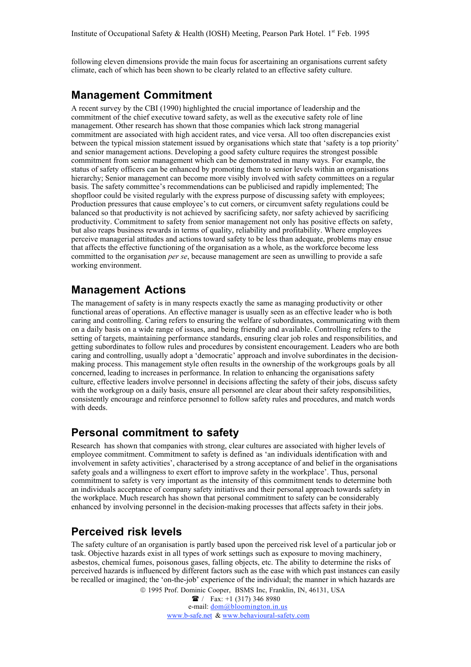following eleven dimensions provide the main focus for ascertaining an organisations current safety climate, each of which has been shown to be clearly related to an effective safety culture.

#### **Management Commitment**

A recent survey by the CBI (1990) highlighted the crucial importance of leadership and the commitment of the chief executive toward safety, as well as the executive safety role of line management. Other research has shown that those companies which lack strong managerial commitment are associated with high accident rates, and vice versa. All too often discrepancies exist between the typical mission statement issued by organisations which state that 'safety is a top priority' and senior management actions. Developing a good safety culture requires the strongest possible commitment from senior management which can be demonstrated in many ways. For example, the status of safety officers can be enhanced by promoting them to senior levels within an organisations hierarchy; Senior management can become more visibly involved with safety committees on a regular basis. The safety committee's recommendations can be publicised and rapidly implemented; The shopfloor could be visited regularly with the express purpose of discussing safety with employees; Production pressures that cause employee's to cut corners, or circumvent safety regulations could be balanced so that productivity is not achieved by sacrificing safety, nor safety achieved by sacrificing productivity. Commitment to safety from senior management not only has positive effects on safety, but also reaps business rewards in terms of quality, reliability and profitability. Where employees perceive managerial attitudes and actions toward safety to be less than adequate, problems may ensue that affects the effective functioning of the organisation as a whole, as the workforce become less committed to the organisation *per se*, because management are seen as unwilling to provide a safe working environment.

#### **Management Actions**

The management of safety is in many respects exactly the same as managing productivity or other functional areas of operations. An effective manager is usually seen as an effective leader who is both caring and controlling. Caring refers to ensuring the welfare of subordinates, communicating with them on a daily basis on a wide range of issues, and being friendly and available. Controlling refers to the setting of targets, maintaining performance standards, ensuring clear job roles and responsibilities, and getting subordinates to follow rules and procedures by consistent encouragement. Leaders who are both caring and controlling, usually adopt a 'democratic' approach and involve subordinates in the decisionmaking process. This management style often results in the ownership of the workgroups goals by all concerned, leading to increases in performance. In relation to enhancing the organisations safety culture, effective leaders involve personnel in decisions affecting the safety of their jobs, discuss safety with the workgroup on a daily basis, ensure all personnel are clear about their safety responsibilities, consistently encourage and reinforce personnel to follow safety rules and procedures, and match words with deeds.

## **Personal commitment to safety**

Research has shown that companies with strong, clear cultures are associated with higher levels of employee commitment. Commitment to safety is defined as 'an individuals identification with and involvement in safety activities', characterised by a strong acceptance of and belief in the organisations safety goals and a willingness to exert effort to improve safety in the workplace'. Thus, personal commitment to safety is very important as the intensity of this commitment tends to determine both an individuals acceptance of company safety initiatives and their personal approach towards safety in the workplace. Much research has shown that personal commitment to safety can be considerably enhanced by involving personnel in the decision-making processes that affects safety in their jobs.

#### **Perceived risk levels**

The safety culture of an organisation is partly based upon the perceived risk level of a particular job or task. Objective hazards exist in all types of work settings such as exposure to moving machinery, asbestos, chemical fumes, poisonous gases, falling objects, etc. The ability to determine the risks of perceived hazards is influenced by different factors such as the ease with which past instances can easily be recalled or imagined; the 'on-the-job' experience of the individual; the manner in which hazards are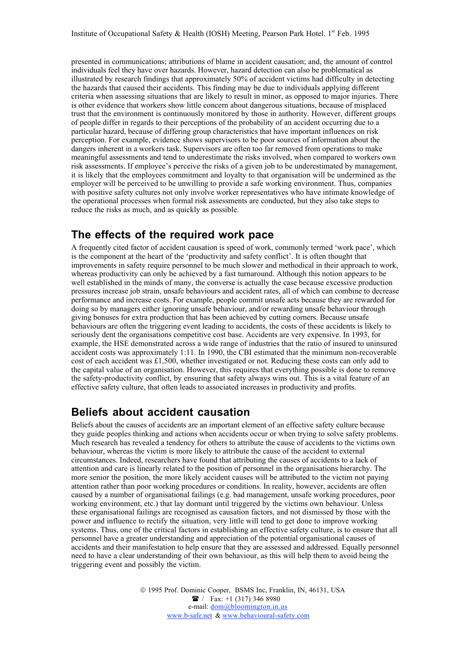presented in communications; attributions of blame in accident causation; and, the amount of control individuals feel they have over hazards. However, hazard detection can also be problematical as illustrated by research findings that approximately 50% of accident victims had difficulty in detecting the hazards that caused their accidents. This finding may be due to individuals applying different criteria when assessing situations that are likely to result in minor, as opposed to major injuries. There is other evidence that workers show little concern about dangerous situations, because of misplaced trust that the environment is continuously monitored by those in authority. However, different groups of people differ in regards to their perceptions of the probability of an accident occurring due to a particular hazard, because of differing group characteristics that have important influences on risk perception. For example, evidence shows supervisors to be poor sources of information about the dangers inherent in a workers task. Supervisors are often too far removed from operations to make meaningful assessments and tend to underestimate the risks involved, when compared to workers own risk assessments. If employee's perceive the risks of a given job to be underestimated by management, it is likely that the employees commitment and loyalty to that organisation will be undermined as the employer will be perceived to be unwilling to provide a safe working environment. Thus, companies with positive safety cultures not only involve worker representatives who have intimate knowledge of the operational processes when formal risk assessments are conducted, but they also take steps to reduce the risks as much, and as quickly as possible.

#### **The effects of the required work pace**

A frequently cited factor of accident causation is speed of work, commonly termed 'work pace', which is the component at the heart of the 'productivity and safety conflict'. It is often thought that improvements in safety require personnel to be much slower and methodical in their approach to work, whereas productivity can only be achieved by a fast turnaround. Although this notion appears to be well established in the minds of many, the converse is actually the case because excessive production pressures increase job strain, unsafe behaviours and accident rates, all of which can combine to decrease performance and increase costs. For example, people commit unsafe acts because they are rewarded for doing so by managers either ignoring unsafe behaviour, and/or rewarding unsafe behaviour through giving bonuses for extra production that has been achieved by cutting corners. Because unsafe behaviours are often the triggering event leading to accidents, the costs of these accidents is likely to seriously dent the organisations competitive cost base. Accidents are very expensive. In 1993, for example, the HSE demonstrated across a wide range of industries that the ratio of insured to uninsured accident costs was approximately 1:11. In 1990, the CBI estimated that the minimum non-recoverable cost of each accident was £1,500, whether investigated or not. Reducing these costs can only add to the capital value of an organisation. However, this requires that everything possible is done to remove the safety-productivity conflict, by ensuring that safety always wins out. This is a vital feature of an effective safety culture, that often leads to associated increases in productivity and profits.

#### **Beliefs about accident causation**

Beliefs about the causes of accidents are an important element of an effective safety culture because they guide peoples thinking and actions when accidents occur or when trying to solve safety problems. Much research has revealed a tendency for others to attribute the cause of accidents to the victims own behaviour, whereas the victim is more likely to attribute the cause of the accident to external circumstances. Indeed, researchers have found that attributing the causes of accidents to a lack of attention and care is linearly related to the position of personnel in the organisations hierarchy. The more senior the position, the more likely accident causes will be attributed to the victim not paying attention rather than poor working procedures or conditions. In reality, however, accidents are often caused by a number of organisational failings (e.g. bad management, unsafe working procedures, poor working environment, etc.) that lay dormant until triggered by the victims own behaviour. Unless these organisational failings are recognised as causation factors, and not dismissed by those with the power and influence to rectify the situation, very little will tend to get done to improve working systems. Thus, one of the critical factors in establishing an effective safety culture, is to ensure that all personnel have a greater understanding and appreciation of the potential organisational causes of accidents and their manifestation to help ensure that they are assessed and addressed. Equally personnel need to have a clear understanding of their own behaviour, as this will help them to avoid being the triggering event and possibly the victim.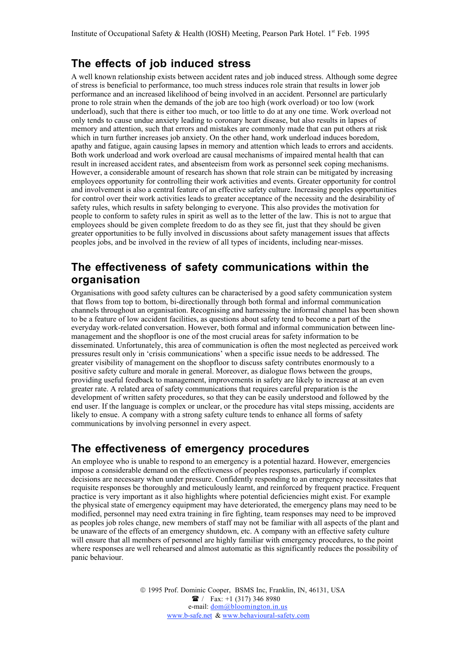## **The effects of job induced stress**

A well known relationship exists between accident rates and job induced stress. Although some degree of stress is beneficial to performance, too much stress induces role strain that results in lower job performance and an increased likelihood of being involved in an accident. Personnel are particularly prone to role strain when the demands of the job are too high (work overload) or too low (work underload), such that there is either too much, or too little to do at any one time. Work overload not only tends to cause undue anxiety leading to coronary heart disease, but also results in lapses of memory and attention, such that errors and mistakes are commonly made that can put others at risk which in turn further increases job anxiety. On the other hand, work underload induces boredom, apathy and fatigue, again causing lapses in memory and attention which leads to errors and accidents. Both work underload and work overload are causal mechanisms of impaired mental health that can result in increased accident rates, and absenteeism from work as personnel seek coping mechanisms. However, a considerable amount of research has shown that role strain can be mitigated by increasing employees opportunity for controlling their work activities and events. Greater opportunity for control and involvement is also a central feature of an effective safety culture. Increasing peoples opportunities for control over their work activities leads to greater acceptance of the necessity and the desirability of safety rules, which results in safety belonging to everyone. This also provides the motivation for people to conform to safety rules in spirit as well as to the letter of the law. This is not to argue that employees should be given complete freedom to do as they see fit, just that they should be given greater opportunities to be fully involved in discussions about safety management issues that affects peoples jobs, and be involved in the review of all types of incidents, including near-misses.

## **The effectiveness of safety communications within the organisation**

Organisations with good safety cultures can be characterised by a good safety communication system that flows from top to bottom, bi-directionally through both formal and informal communication channels throughout an organisation. Recognising and harnessing the informal channel has been shown to be a feature of low accident facilities, as questions about safety tend to become a part of the everyday work-related conversation. However, both formal and informal communication between linemanagement and the shopfloor is one of the most crucial areas for safety information to be disseminated. Unfortunately, this area of communication is often the most neglected as perceived work pressures result only in 'crisis communications' when a specific issue needs to be addressed. The greater visibility of management on the shopfloor to discuss safety contributes enormously to a positive safety culture and morale in general. Moreover, as dialogue flows between the groups, providing useful feedback to management, improvements in safety are likely to increase at an even greater rate. A related area of safety communications that requires careful preparation is the development of written safety procedures, so that they can be easily understood and followed by the end user. If the language is complex or unclear, or the procedure has vital steps missing, accidents are likely to ensue. A company with a strong safety culture tends to enhance all forms of safety communications by involving personnel in every aspect.

## **The effectiveness of emergency procedures**

An employee who is unable to respond to an emergency is a potential hazard. However, emergencies impose a considerable demand on the effectiveness of peoples responses, particularly if complex decisions are necessary when under pressure. Confidently responding to an emergency necessitates that requisite responses be thoroughly and meticulously learnt, and reinforced by frequent practice. Frequent practice is very important as it also highlights where potential deficiencies might exist. For example the physical state of emergency equipment may have deteriorated, the emergency plans may need to be modified, personnel may need extra training in fire fighting, team responses may need to be improved as peoples job roles change, new members of staff may not be familiar with all aspects of the plant and be unaware of the effects of an emergency shutdown, etc. A company with an effective safety culture will ensure that all members of personnel are highly familiar with emergency procedures, to the point where responses are well rehearsed and almost automatic as this significantly reduces the possibility of panic behaviour.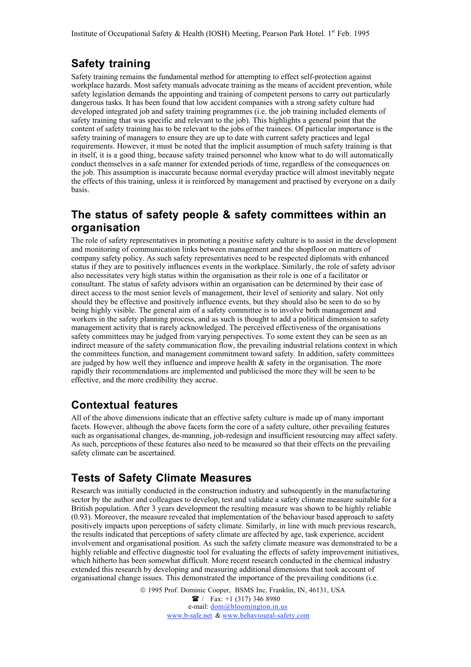# **Safety training**

Safety training remains the fundamental method for attempting to effect self-protection against workplace hazards. Most safety manuals advocate training as the means of accident prevention, while safety legislation demands the appointing and training of competent persons to carry out particularly dangerous tasks. It has been found that low accident companies with a strong safety culture had developed integrated job and safety training programmes (i.e. the job training included elements of safety training that was specific and relevant to the job). This highlights a general point that the content of safety training has to be relevant to the jobs of the trainees. Of particular importance is the safety training of managers to ensure they are up to date with current safety practices and legal requirements. However, it must be noted that the implicit assumption of much safety training is that in itself, it is a good thing, because safety trained personnel who know what to do will automatically conduct themselves in a safe manner for extended periods of time, regardless of the consequences on the job. This assumption is inaccurate because normal everyday practice will almost inevitably negate the effects of this training, unless it is reinforced by management and practised by everyone on a daily basis.

## **The status of safety people & safety committees within an organisation**

The role of safety representatives in promoting a positive safety culture is to assist in the development and monitoring of communication links between management and the shopfloor on matters of company safety policy. As such safety representatives need to be respected diplomats with enhanced status if they are to positively influences events in the workplace. Similarly, the role of safety advisor also necessitates very high status within the organisation as their role is one of a facilitator or consultant. The status of safety advisors within an organisation can be determined by their ease of direct access to the most senior levels of management, their level of seniority and salary. Not only should they be effective and positively influence events, but they should also be seen to do so by being highly visible. The general aim of a safety committee is to involve both management and workers in the safety planning process, and as such is thought to add a political dimension to safety management activity that is rarely acknowledged. The perceived effectiveness of the organisations safety committees may be judged from varying perspectives. To some extent they can be seen as an indirect measure of the safety communication flow, the prevailing industrial relations context in which the committees function, and management commitment toward safety. In addition, safety committees are judged by how well they influence and improve health  $\&$  safety in the organisation. The more rapidly their recommendations are implemented and publicised the more they will be seen to be effective, and the more credibility they accrue.

## **Contextual features**

All of the above dimensions indicate that an effective safety culture is made up of many important facets. However, although the above facets form the core of a safety culture, other prevailing features such as organisational changes, de-manning, job-redesign and insufficient resourcing may affect safety. As such, perceptions of these features also need to be measured so that their effects on the prevailing safety climate can be ascertained.

## **Tests of Safety Climate Measures**

Research was initially conducted in the construction industry and subsequently in the manufacturing sector by the author and colleagues to develop, test and validate a safety climate measure suitable for a British population. After 3 years development the resulting measure was shown to be highly reliable (0.93). Moreover, the measure revealed that implementation of the behaviour based approach to safety positively impacts upon perceptions of safety climate. Similarly, in line with much previous research, the results indicated that perceptions of safety climate are affected by age, task experience, accident involvement and organisational position. As such the safety climate measure was demonstrated to be a highly reliable and effective diagnostic tool for evaluating the effects of safety improvement initiatives, which hitherto has been somewhat difficult. More recent research conducted in the chemical industry extended this research by developing and measuring additional dimensions that took account of organisational change issues. This demonstrated the importance of the prevailing conditions (i.e.